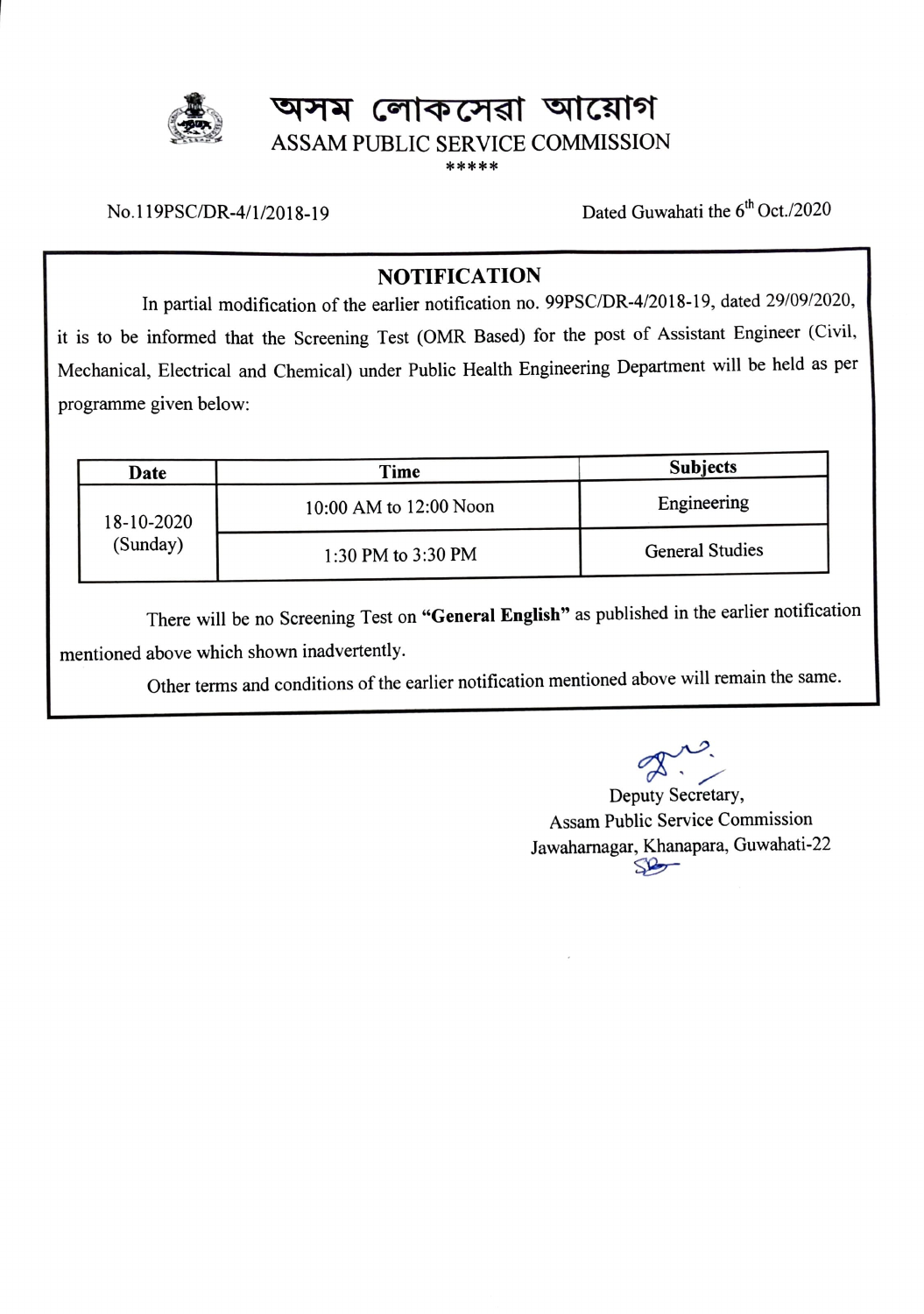# **অসম লোকসেৱা আয়োগ** ASSAM PUBLIC SERVICE COMMISSION \*\*\*\*\*

No.119PSC/DR-4/1/2018-19

Dated Guwahati the 6<sup>th</sup> Oct./2020

## **NOTIFICATION**

In partial modification of the earlier notification no. 99PSC/DR-4/2018-19, dated 29/09/2020, it is to be informed that the Screening Test (OMR Based) for the post of Assistant Engineer (Civil, Mechanical, Electrical and Chemical) under Public Health Engineering Department will be held as per programme given below:

| Date       | Time                   | <b>Subjects</b>        |  |
|------------|------------------------|------------------------|--|
| 18-10-2020 | 10:00 AM to 12:00 Noon | Engineering            |  |
| (Sunday)   | 1:30 PM to 3:30 PM     | <b>General Studies</b> |  |

There will be no Screening Test on **"General English"** as published in the earlier notification mentioned above which shown inadvertently.

Other terms and conditions of the earlier notification mentioned above will remain the same.

Deputy Secretary,

Assam Public Service Commission Jawahamagar, Khanapara, Guwahati-22 SP